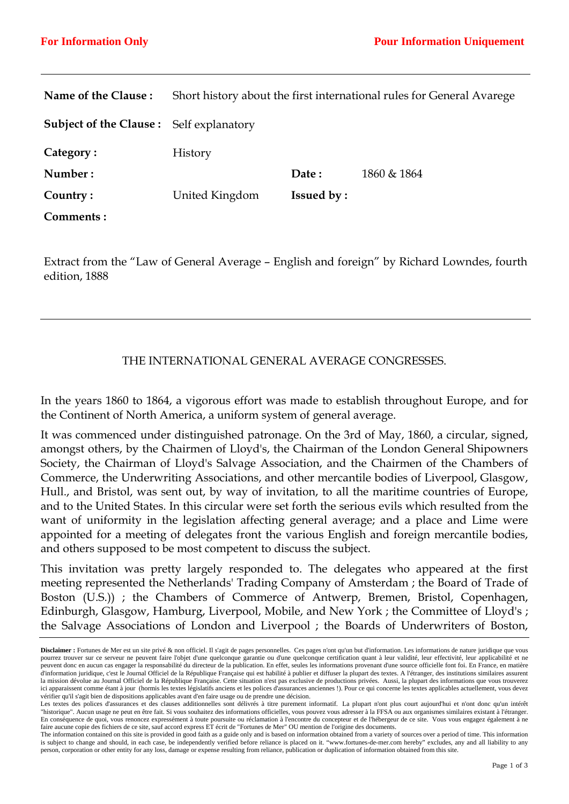| Name of the Clause:                            |                |                   | Short history about the first international rules for General Avarege |
|------------------------------------------------|----------------|-------------------|-----------------------------------------------------------------------|
| <b>Subject of the Clause:</b> Self explanatory |                |                   |                                                                       |
| Category:                                      | <b>History</b> |                   |                                                                       |
| Number:                                        |                | Date:             | 1860 & 1864                                                           |
| Country:                                       | United Kingdom | <b>Issued by:</b> |                                                                       |
| Comments:                                      |                |                   |                                                                       |

Extract from the "Law of General Average – English and foreign" by Richard Lowndes, fourth edition, 1888

## THE INTERNATIONAL GENERAL AVERAGE CONGRESSES.

In the years 1860 to 1864, a vigorous effort was made to establish throughout Europe, and for the Continent of North America, a uniform system of general average.

It was commenced under distinguished patronage. On the 3rd of May, 1860, a circular, signed, amongst others, by the Chairmen of Lloyd's, the Chairman of the London General Shipowners Society, the Chairman of Lloyd's Salvage Association, and the Chairmen of the Chambers of Commerce, the Underwriting Associations, and other mercantile bodies of Liverpool, Glasgow, Hull., and Bristol, was sent out, by way of invitation, to all the maritime countries of Europe, and to the United States. In this circular were set forth the serious evils which resulted from the want of uniformity in the legislation affecting general average; and a place and Lime were appointed for a meeting of delegates front the various English and foreign mercantile bodies, and others supposed to be most competent to discuss the subject.

This invitation was pretty largely responded to. The delegates who appeared at the first meeting represented the Netherlands' Trading Company of Amsterdam ; the Board of Trade of Boston (U.S.)) ; the Chambers of Commerce of Antwerp, Bremen, Bristol, Copenhagen, Edinburgh, Glasgow, Hamburg, Liverpool, Mobile, and New York ; the Committee of Lloyd's ; the Salvage Associations of London and Liverpool ; the Boards of Underwriters of Boston,

**Disclaimer :** Fortunes de Mer est un site privé & non officiel. Il s'agit de pages personnelles. Ces pages n'ont qu'un but d'information. Les informations de nature juridique que vous pourrez trouver sur ce serveur ne peuvent faire l'objet d'une quelconque garantie ou d'une quelconque certification quant à leur validité, leur effectivité, leur applicabilité et ne peuvent donc en aucun cas engager la responsabilité du directeur de la publication. En effet, seules les informations provenant d'une source officielle font foi. En France, en matière d'information juridique, c'est le Journal Officiel de la République Française qui est habilité à publier et diffuser la plupart des textes. A l'étranger, des institutions similaires assurent la mission dévolue au Journal Officiel de la République Française. Cette situation n'est pas exclusive de productions privées. Aussi, la plupart des informations que vous trouverez ici apparaissent comme étant à jour (hormis les textes législatifs anciens et les polices d'assurances anciennes !). Pour ce qui concerne les textes applicables actuellement, vous devez vérifier qu'il s'agit bien de dispositions applicables avant d'en faire usage ou de prendre une décision.

Les textes des polices d'assurances et des clauses additionnelles sont délivrés à titre purement informatif. La plupart n'ont plus court aujourd'hui et n'ont donc qu'un intérêt "historique". Aucun usage ne peut en être fait. Si vous souhaitez des informations officielles, vous pouvez vous adresser à la FFSA ou aux organismes similaires existant à l'étranger. En conséquence de quoi, vous renoncez expressément à toute poursuite ou réclamation à l'encontre du concepteur et de l'hébergeur de ce site. Vous vous engagez également à ne faire aucune copie des fichiers de ce site, sauf accord express ET écrit de "Fortunes de Mer" OU mention de l'origine des documents.

The information contained on this site is provided in good faith as a guide only and is based on information obtained from a variety of sources over a period of time. This information is subject to change and should, in each case, be independently verified before reliance is placed on it. "www.fortunes-de-mer.com hereby" excludes, any and all liability to any person, corporation or other entity for any loss, damage or expense resulting from reliance, publication or duplication of information obtained from this site.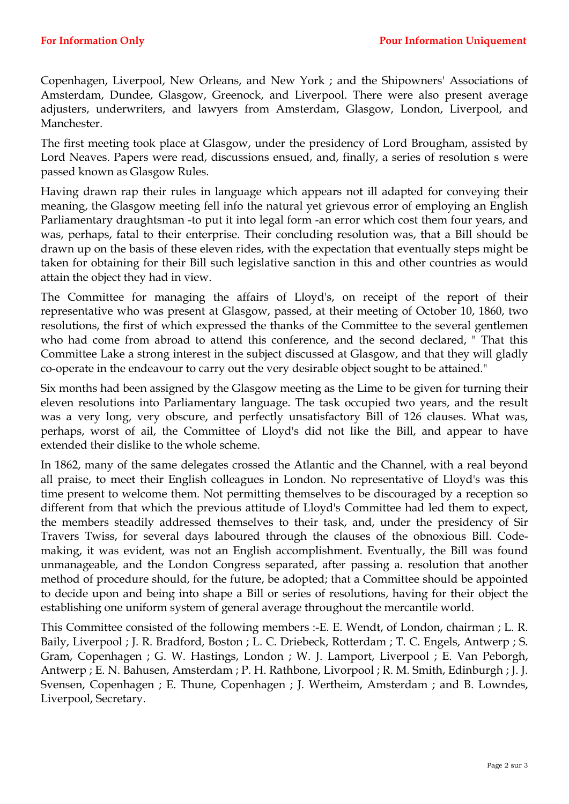Copenhagen, Liverpool, New Orleans, and New York ; and the Shipowners' Associations of Amsterdam, Dundee, Glasgow, Greenock, and Liverpool. There were also present average adjusters, underwriters, and lawyers from Amsterdam, Glasgow, London, Liverpool, and Manchester.

The first meeting took place at Glasgow, under the presidency of Lord Brougham, assisted by Lord Neaves. Papers were read, discussions ensued, and, finally, a series of resolution s were passed known as Glasgow Rules.

Having drawn rap their rules in language which appears not ill adapted for conveying their meaning, the Glasgow meeting fell info the natural yet grievous error of employing an English Parliamentary draughtsman -to put it into legal form -an error which cost them four years, and was, perhaps, fatal to their enterprise. Their concluding resolution was, that a Bill should be drawn up on the basis of these eleven rides, with the expectation that eventually steps might be taken for obtaining for their Bill such legislative sanction in this and other countries as would attain the object they had in view.

The Committee for managing the affairs of Lloyd's, on receipt of the report of their representative who was present at Glasgow, passed, at their meeting of October 10, 1860, two resolutions, the first of which expressed the thanks of the Committee to the several gentlemen who had come from abroad to attend this conference, and the second declared, " That this Committee Lake a strong interest in the subject discussed at Glasgow, and that they will gladly co-operate in the endeavour to carry out the very desirable object sought to be attained."

Six months had been assigned by the Glasgow meeting as the Lime to be given for turning their eleven resolutions into Parliamentary language. The task occupied two years, and the result was a very long, very obscure, and perfectly unsatisfactory Bill of 126 clauses. What was, perhaps, worst of ail, the Committee of Lloyd's did not like the Bill, and appear to have extended their dislike to the whole scheme.

In 1862, many of the same delegates crossed the Atlantic and the Channel, with a real beyond all praise, to meet their English colleagues in London. No representative of Lloyd's was this time present to welcome them. Not permitting themselves to be discouraged by a reception so different from that which the previous attitude of Lloyd's Committee had led them to expect, the members steadily addressed themselves to their task, and, under the presidency of Sir Travers Twiss, for several days laboured through the clauses of the obnoxious Bill. Codemaking, it was evident, was not an English accomplishment. Eventually, the Bill was found unmanageable, and the London Congress separated, after passing a. resolution that another method of procedure should, for the future, be adopted; that a Committee should be appointed to decide upon and being into shape a Bill or series of resolutions, having for their object the establishing one uniform system of general average throughout the mercantile world.

This Committee consisted of the following members :-E. E. Wendt, of London, chairman ; L. R. Baily, Liverpool ; J. R. Bradford, Boston ; L. C. Driebeck, Rotterdam ; T. C. Engels, Antwerp ; S. Gram, Copenhagen ; G. W. Hastings, London ; W. J. Lamport, Liverpool ; E. Van Peborgh, Antwerp ; E. N. Bahusen, Amsterdam ; P. H. Rathbone, Livorpool ; R. M. Smith, Edinburgh ; J. J. Svensen, Copenhagen ; E. Thune, Copenhagen ; J. Wertheim, Amsterdam ; and B. Lowndes, Liverpool, Secretary.